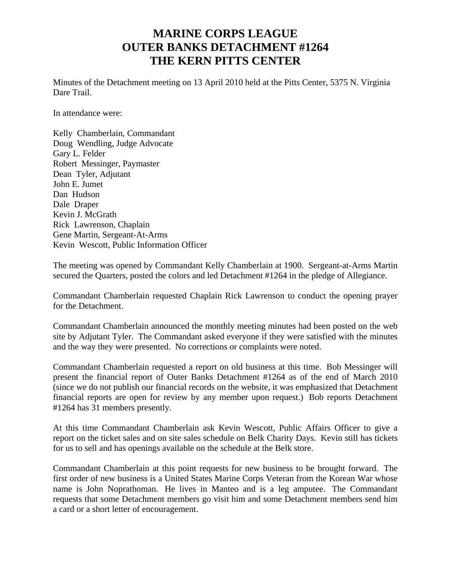## **MARINE CORPS LEAGUE OUTER BANKS DETACHMENT #1264 THE KERN PITTS CENTER**

Minutes of the Detachment meeting on 13 April 2010 held at the Pitts Center, 5375 N. Virginia Dare Trail.

In attendance were:

Kelly Chamberlain, Commandant Doug Wendling, Judge Advocate Gary L. Felder Robert Messinger, Paymaster Dean Tyler, Adjutant John E. Jumet Dan Hudson Dale Draper Kevin J. McGrath Rick Lawrenson, Chaplain Gene Martin, Sergeant-At-Arms Kevin Wescott, Public Information Officer

The meeting was opened by Commandant Kelly Chamberlain at 1900. Sergeant-at-Arms Martin secured the Quarters, posted the colors and led Detachment #1264 in the pledge of Allegiance.

Commandant Chamberlain requested Chaplain Rick Lawrenson to conduct the opening prayer for the Detachment.

Commandant Chamberlain announced the monthly meeting minutes had been posted on the web site by Adjutant Tyler. The Commandant asked everyone if they were satisfied with the minutes and the way they were presented. No corrections or complaints were noted.

Commandant Chamberlain requested a report on old business at this time. Bob Messinger will present the financial report of Outer Banks Detachment #1264 as of the end of March 2010 (since we do not publish our financial records on the website, it was emphasized that Detachment financial reports are open for review by any member upon request.) Bob reports Detachment #1264 has 31 members presently.

At this time Commandant Chamberlain ask Kevin Wescott, Public Affairs Officer to give a report on the ticket sales and on site sales schedule on Belk Charity Days. Kevin still has tickets for us to sell and has openings available on the schedule at the Belk store.

Commandant Chamberlain at this point requests for new business to be brought forward. The first order of new business is a United States Marine Corps Veteran from the Korean War whose name is John Noprathoman. He lives in Manteo and is a leg amputee. The Commandant requests that some Detachment members go visit him and some Detachment members send him a card or a short letter of encouragement.